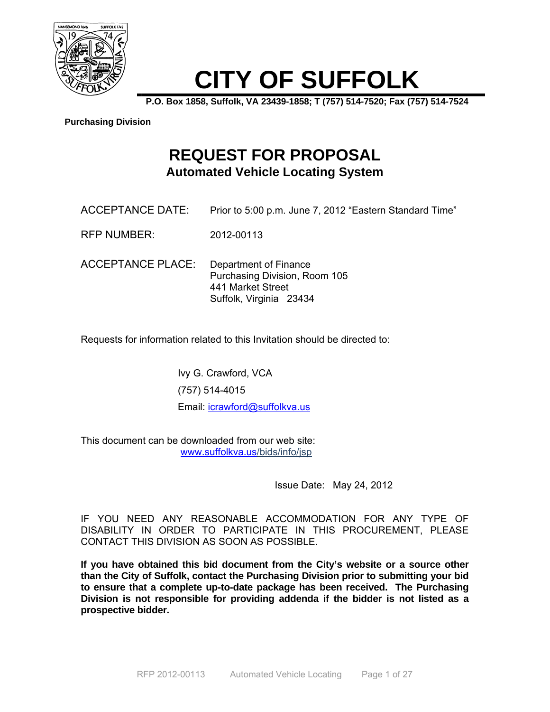

# **CITY OF SUFFOLK**

**P.O. Box 1858, Suffolk, VA 23439-1858; T (757) 514-7520; Fax (757) 514-7524** 

#### **Purchasing Division**

# **REQUEST FOR PROPOSAL Automated Vehicle Locating System**

- ACCEPTANCE DATE: Prior to 5:00 p.m. June 7, 2012 "Eastern Standard Time"
- RFP NUMBER: 2012-00113
- ACCEPTANCE PLACE: Department of Finance Purchasing Division, Room 105 441 Market Street Suffolk, Virginia 23434

Requests for information related to this Invitation should be directed to:

Ivy G. Crawford, VCA (757) 514-4015 Email: icrawford@suffolkva.us

This document can be downloaded from our web site: www.suffolkva.us/bids/info/jsp

Issue Date: May 24, 2012

IF YOU NEED ANY REASONABLE ACCOMMODATION FOR ANY TYPE OF DISABILITY IN ORDER TO PARTICIPATE IN THIS PROCUREMENT, PLEASE CONTACT THIS DIVISION AS SOON AS POSSIBLE.

**If you have obtained this bid document from the City's website or a source other than the City of Suffolk, contact the Purchasing Division prior to submitting your bid to ensure that a complete up-to-date package has been received. The Purchasing Division is not responsible for providing addenda if the bidder is not listed as a prospective bidder.**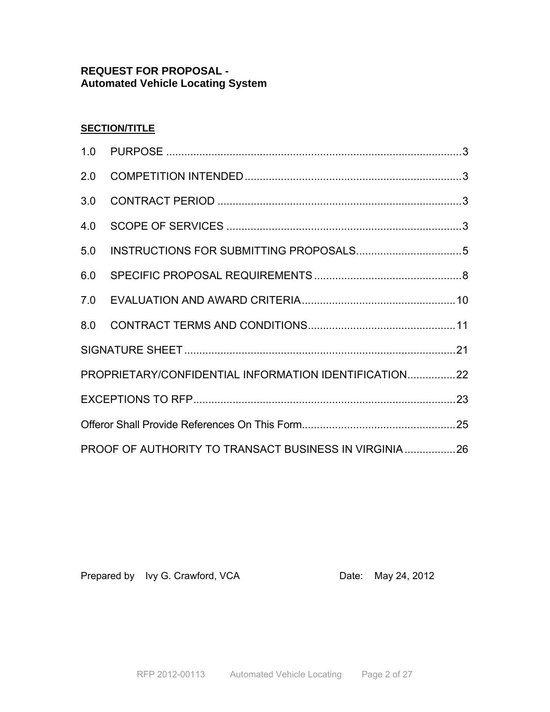### **REQUEST FOR PROPOSAL - Automated Vehicle Locating System**

### **SECTION/TITLE**

| PROPRIETARY/CONFIDENTIAL INFORMATION IDENTIFICATION22 |  |  |
|-------------------------------------------------------|--|--|
|                                                       |  |  |
|                                                       |  |  |
| PROOF OF AUTHORITY TO TRANSACT BUSINESS IN VIRGINIA26 |  |  |

Prepared by Ivy G. Crawford, VCA Date: May 24, 2012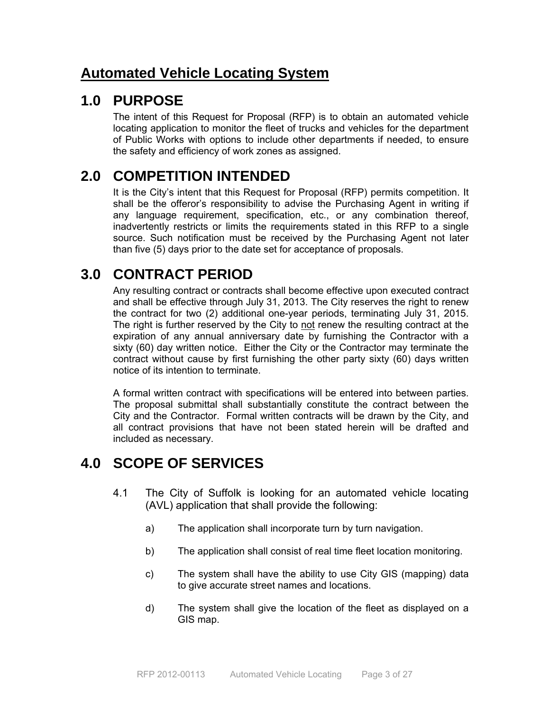# **Automated Vehicle Locating System**

## **1.0 PURPOSE**

The intent of this Request for Proposal (RFP) is to obtain an automated vehicle locating application to monitor the fleet of trucks and vehicles for the department of Public Works with options to include other departments if needed, to ensure the safety and efficiency of work zones as assigned.

# **2.0 COMPETITION INTENDED**

It is the City's intent that this Request for Proposal (RFP) permits competition. It shall be the offeror's responsibility to advise the Purchasing Agent in writing if any language requirement, specification, etc., or any combination thereof, inadvertently restricts or limits the requirements stated in this RFP to a single source. Such notification must be received by the Purchasing Agent not later than five (5) days prior to the date set for acceptance of proposals.

# **3.0 CONTRACT PERIOD**

Any resulting contract or contracts shall become effective upon executed contract and shall be effective through July 31, 2013. The City reserves the right to renew the contract for two (2) additional one-year periods, terminating July 31, 2015. The right is further reserved by the City to not renew the resulting contract at the expiration of any annual anniversary date by furnishing the Contractor with a sixty (60) day written notice. Either the City or the Contractor may terminate the contract without cause by first furnishing the other party sixty (60) days written notice of its intention to terminate.

A formal written contract with specifications will be entered into between parties. The proposal submittal shall substantially constitute the contract between the City and the Contractor. Formal written contracts will be drawn by the City, and all contract provisions that have not been stated herein will be drafted and included as necessary.

# **4.0 SCOPE OF SERVICES**

- 4.1 The City of Suffolk is looking for an automated vehicle locating (AVL) application that shall provide the following:
	- a) The application shall incorporate turn by turn navigation.
	- b) The application shall consist of real time fleet location monitoring.
	- c) The system shall have the ability to use City GIS (mapping) data to give accurate street names and locations.
	- d) The system shall give the location of the fleet as displayed on a GIS map.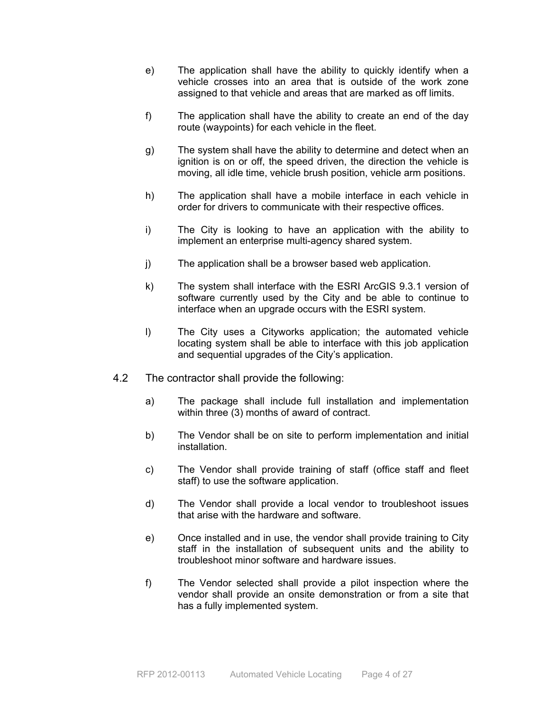- e) The application shall have the ability to quickly identify when a vehicle crosses into an area that is outside of the work zone assigned to that vehicle and areas that are marked as off limits.
- f) The application shall have the ability to create an end of the day route (waypoints) for each vehicle in the fleet.
- g) The system shall have the ability to determine and detect when an ignition is on or off, the speed driven, the direction the vehicle is moving, all idle time, vehicle brush position, vehicle arm positions.
- h) The application shall have a mobile interface in each vehicle in order for drivers to communicate with their respective offices.
- i) The City is looking to have an application with the ability to implement an enterprise multi-agency shared system.
- j) The application shall be a browser based web application.
- k) The system shall interface with the ESRI ArcGIS 9.3.1 version of software currently used by the City and be able to continue to interface when an upgrade occurs with the ESRI system.
- l) The City uses a Cityworks application; the automated vehicle locating system shall be able to interface with this job application and sequential upgrades of the City's application.
- 4.2 The contractor shall provide the following:
	- a) The package shall include full installation and implementation within three (3) months of award of contract.
	- b) The Vendor shall be on site to perform implementation and initial installation.
	- c) The Vendor shall provide training of staff (office staff and fleet staff) to use the software application.
	- d) The Vendor shall provide a local vendor to troubleshoot issues that arise with the hardware and software.
	- e) Once installed and in use, the vendor shall provide training to City staff in the installation of subsequent units and the ability to troubleshoot minor software and hardware issues.
	- f) The Vendor selected shall provide a pilot inspection where the vendor shall provide an onsite demonstration or from a site that has a fully implemented system.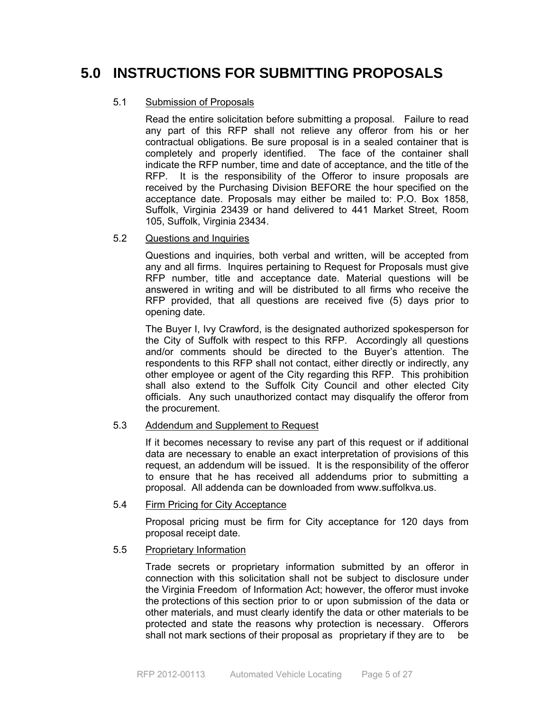# **5.0 INSTRUCTIONS FOR SUBMITTING PROPOSALS**

#### 5.1 Submission of Proposals

 Read the entire solicitation before submitting a proposal. Failure to read any part of this RFP shall not relieve any offeror from his or her contractual obligations. Be sure proposal is in a sealed container that is completely and properly identified. The face of the container shall indicate the RFP number, time and date of acceptance, and the title of the RFP. It is the responsibility of the Offeror to insure proposals are received by the Purchasing Division BEFORE the hour specified on the acceptance date. Proposals may either be mailed to: P.O. Box 1858, Suffolk, Virginia 23439 or hand delivered to 441 Market Street, Room 105, Suffolk, Virginia 23434.

5.2 Questions and Inquiries

 Questions and inquiries, both verbal and written, will be accepted from any and all firms. Inquires pertaining to Request for Proposals must give RFP number, title and acceptance date. Material questions will be answered in writing and will be distributed to all firms who receive the RFP provided, that all questions are received five (5) days prior to opening date.

 The Buyer I, Ivy Crawford, is the designated authorized spokesperson for the City of Suffolk with respect to this RFP. Accordingly all questions and/or comments should be directed to the Buyer's attention. The respondents to this RFP shall not contact, either directly or indirectly, any other employee or agent of the City regarding this RFP. This prohibition shall also extend to the Suffolk City Council and other elected City officials. Any such unauthorized contact may disqualify the offeror from the procurement.

### 5.3 Addendum and Supplement to Request

 If it becomes necessary to revise any part of this request or if additional data are necessary to enable an exact interpretation of provisions of this request, an addendum will be issued. It is the responsibility of the offeror to ensure that he has received all addendums prior to submitting a proposal. All addenda can be downloaded from www.suffolkva.us.

#### 5.4 Firm Pricing for City Acceptance

 Proposal pricing must be firm for City acceptance for 120 days from proposal receipt date.

### 5.5 Proprietary Information

 Trade secrets or proprietary information submitted by an offeror in connection with this solicitation shall not be subject to disclosure under the Virginia Freedom of Information Act; however, the offeror must invoke the protections of this section prior to or upon submission of the data or other materials, and must clearly identify the data or other materials to be protected and state the reasons why protection is necessary. Offerors shall not mark sections of their proposal as proprietary if they are to be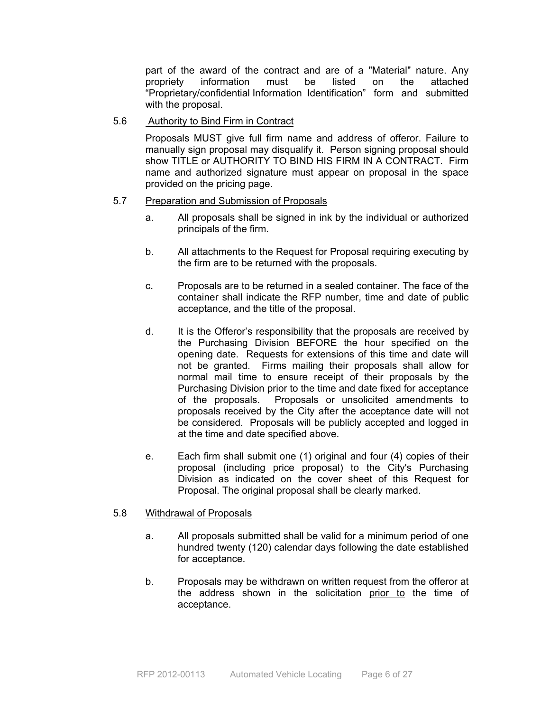part of the award of the contract and are of a "Material" nature. Any propriety information must be listed on the attached "Proprietary/confidential Information Identification" form and submitted with the proposal.

#### 5.6 Authority to Bind Firm in Contract

 Proposals MUST give full firm name and address of offeror. Failure to manually sign proposal may disqualify it. Person signing proposal should show TITLE or AUTHORITY TO BIND HIS FIRM IN A CONTRACT. Firm name and authorized signature must appear on proposal in the space provided on the pricing page.

#### 5.7 Preparation and Submission of Proposals

- a. All proposals shall be signed in ink by the individual or authorized principals of the firm.
- b. All attachments to the Request for Proposal requiring executing by the firm are to be returned with the proposals.
- c. Proposals are to be returned in a sealed container. The face of the container shall indicate the RFP number, time and date of public acceptance, and the title of the proposal.
- d. It is the Offeror's responsibility that the proposals are received by the Purchasing Division BEFORE the hour specified on the opening date. Requests for extensions of this time and date will not be granted. Firms mailing their proposals shall allow for normal mail time to ensure receipt of their proposals by the Purchasing Division prior to the time and date fixed for acceptance of the proposals. Proposals or unsolicited amendments to proposals received by the City after the acceptance date will not be considered. Proposals will be publicly accepted and logged in at the time and date specified above.
- e. Each firm shall submit one (1) original and four (4) copies of their proposal (including price proposal) to the City's Purchasing Division as indicated on the cover sheet of this Request for Proposal. The original proposal shall be clearly marked.

#### 5.8 Withdrawal of Proposals

- a. All proposals submitted shall be valid for a minimum period of one hundred twenty (120) calendar days following the date established for acceptance.
- b. Proposals may be withdrawn on written request from the offeror at the address shown in the solicitation prior to the time of acceptance.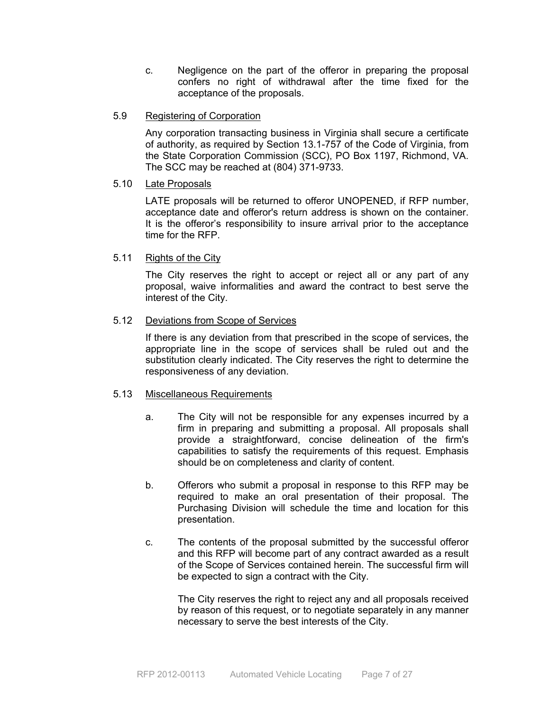- c. Negligence on the part of the offeror in preparing the proposal confers no right of withdrawal after the time fixed for the acceptance of the proposals.
- 5.9 Registering of Corporation

 Any corporation transacting business in Virginia shall secure a certificate of authority, as required by Section 13.1-757 of the Code of Virginia, from the State Corporation Commission (SCC), PO Box 1197, Richmond, VA. The SCC may be reached at (804) 371-9733.

#### 5.10 Late Proposals

LATE proposals will be returned to offeror UNOPENED, if RFP number, acceptance date and offeror's return address is shown on the container. It is the offeror's responsibility to insure arrival prior to the acceptance time for the RFP.

#### 5.11 Rights of the City

 The City reserves the right to accept or reject all or any part of any proposal, waive informalities and award the contract to best serve the interest of the City.

#### 5.12 Deviations from Scope of Services

If there is any deviation from that prescribed in the scope of services, the appropriate line in the scope of services shall be ruled out and the substitution clearly indicated. The City reserves the right to determine the responsiveness of any deviation.

#### 5.13 Miscellaneous Requirements

- a. The City will not be responsible for any expenses incurred by a firm in preparing and submitting a proposal. All proposals shall provide a straightforward, concise delineation of the firm's capabilities to satisfy the requirements of this request. Emphasis should be on completeness and clarity of content.
- b. Offerors who submit a proposal in response to this RFP may be required to make an oral presentation of their proposal. The Purchasing Division will schedule the time and location for this presentation.
- c. The contents of the proposal submitted by the successful offeror and this RFP will become part of any contract awarded as a result of the Scope of Services contained herein. The successful firm will be expected to sign a contract with the City.

 The City reserves the right to reject any and all proposals received by reason of this request, or to negotiate separately in any manner necessary to serve the best interests of the City.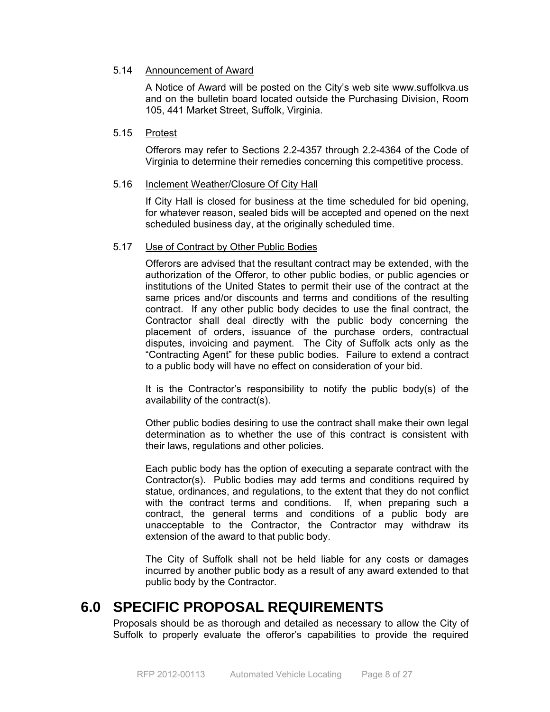#### 5.14 Announcement of Award

 A Notice of Award will be posted on the City's web site www.suffolkva.us and on the bulletin board located outside the Purchasing Division, Room 105, 441 Market Street, Suffolk, Virginia.

#### 5.15 Protest

 Offerors may refer to Sections 2.2-4357 through 2.2-4364 of the Code of Virginia to determine their remedies concerning this competitive process.

#### 5.16 Inclement Weather/Closure Of City Hall

 If City Hall is closed for business at the time scheduled for bid opening, for whatever reason, sealed bids will be accepted and opened on the next scheduled business day, at the originally scheduled time.

#### 5.17 Use of Contract by Other Public Bodies

 Offerors are advised that the resultant contract may be extended, with the authorization of the Offeror, to other public bodies, or public agencies or institutions of the United States to permit their use of the contract at the same prices and/or discounts and terms and conditions of the resulting contract. If any other public body decides to use the final contract, the Contractor shall deal directly with the public body concerning the placement of orders, issuance of the purchase orders, contractual disputes, invoicing and payment. The City of Suffolk acts only as the "Contracting Agent" for these public bodies. Failure to extend a contract to a public body will have no effect on consideration of your bid.

 It is the Contractor's responsibility to notify the public body(s) of the availability of the contract(s).

 Other public bodies desiring to use the contract shall make their own legal determination as to whether the use of this contract is consistent with their laws, regulations and other policies.

 Each public body has the option of executing a separate contract with the Contractor(s). Public bodies may add terms and conditions required by statue, ordinances, and regulations, to the extent that they do not conflict with the contract terms and conditions. If, when preparing such a contract, the general terms and conditions of a public body are unacceptable to the Contractor, the Contractor may withdraw its extension of the award to that public body.

 The City of Suffolk shall not be held liable for any costs or damages incurred by another public body as a result of any award extended to that public body by the Contractor.

# **6.0 SPECIFIC PROPOSAL REQUIREMENTS**

Proposals should be as thorough and detailed as necessary to allow the City of Suffolk to properly evaluate the offeror's capabilities to provide the required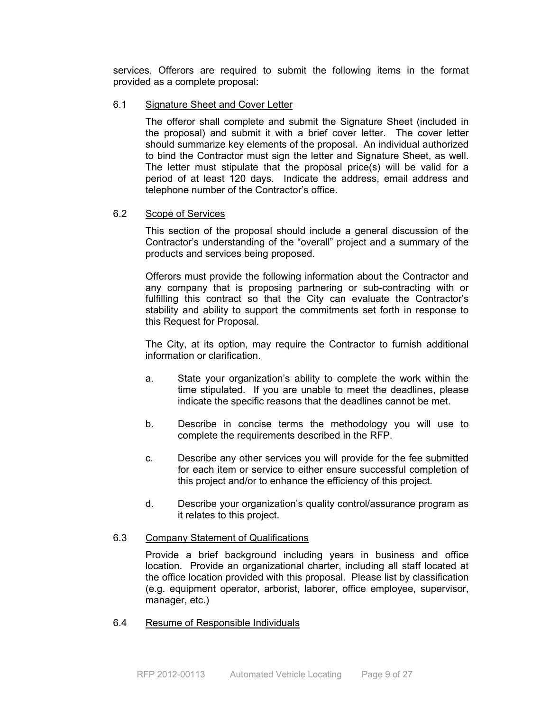services. Offerors are required to submit the following items in the format provided as a complete proposal:

#### 6.1 Signature Sheet and Cover Letter

 The offeror shall complete and submit the Signature Sheet (included in the proposal) and submit it with a brief cover letter. The cover letter should summarize key elements of the proposal. An individual authorized to bind the Contractor must sign the letter and Signature Sheet, as well. The letter must stipulate that the proposal price(s) will be valid for a period of at least 120 days. Indicate the address, email address and telephone number of the Contractor's office.

#### 6.2 Scope of Services

 This section of the proposal should include a general discussion of the Contractor's understanding of the "overall" project and a summary of the products and services being proposed.

Offerors must provide the following information about the Contractor and any company that is proposing partnering or sub-contracting with or fulfilling this contract so that the City can evaluate the Contractor's stability and ability to support the commitments set forth in response to this Request for Proposal.

 The City, at its option, may require the Contractor to furnish additional information or clarification.

- a. State your organization's ability to complete the work within the time stipulated. If you are unable to meet the deadlines, please indicate the specific reasons that the deadlines cannot be met.
- b. Describe in concise terms the methodology you will use to complete the requirements described in the RFP.
- c. Describe any other services you will provide for the fee submitted for each item or service to either ensure successful completion of this project and/or to enhance the efficiency of this project.
- d. Describe your organization's quality control/assurance program as it relates to this project.

#### 6.3 Company Statement of Qualifications

 Provide a brief background including years in business and office location. Provide an organizational charter, including all staff located at the office location provided with this proposal. Please list by classification (e.g. equipment operator, arborist, laborer, office employee, supervisor, manager, etc.)

#### 6.4 Resume of Responsible Individuals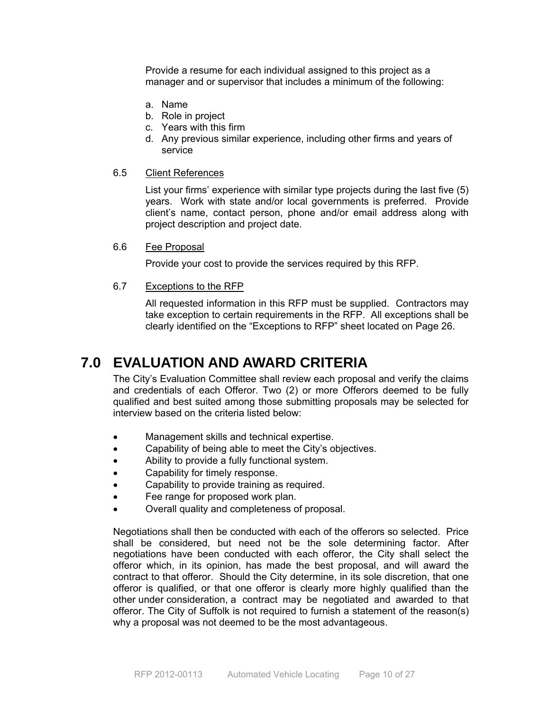Provide a resume for each individual assigned to this project as a manager and or supervisor that includes a minimum of the following:

- a. Name
- b. Role in project
- c. Years with this firm
- d. Any previous similar experience, including other firms and years of service
- 6.5 Client References

 List your firms' experience with similar type projects during the last five (5) years. Work with state and/or local governments is preferred. Provide client's name, contact person, phone and/or email address along with project description and project date.

#### 6.6 Fee Proposal

Provide your cost to provide the services required by this RFP.

#### 6.7 Exceptions to the RFP

All requested information in this RFP must be supplied. Contractors may take exception to certain requirements in the RFP. All exceptions shall be clearly identified on the "Exceptions to RFP" sheet located on Page 26.

### **7.0 EVALUATION AND AWARD CRITERIA**

The City's Evaluation Committee shall review each proposal and verify the claims and credentials of each Offeror. Two (2) or more Offerors deemed to be fully qualified and best suited among those submitting proposals may be selected for interview based on the criteria listed below:

- Management skills and technical expertise.
- Capability of being able to meet the City's objectives.
- Ability to provide a fully functional system.
- Capability for timely response.
- Capability to provide training as required.
- Fee range for proposed work plan.
- Overall quality and completeness of proposal.

Negotiations shall then be conducted with each of the offerors so selected. Price shall be considered, but need not be the sole determining factor. After negotiations have been conducted with each offeror, the City shall select the offeror which, in its opinion, has made the best proposal, and will award the contract to that offeror. Should the City determine, in its sole discretion, that one offeror is qualified, or that one offeror is clearly more highly qualified than the other under consideration, a contract may be negotiated and awarded to that offeror. The City of Suffolk is not required to furnish a statement of the reason(s) why a proposal was not deemed to be the most advantageous.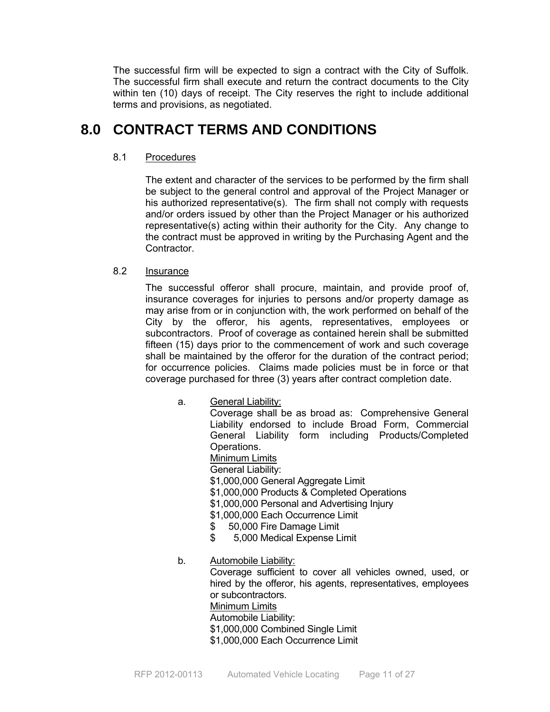The successful firm will be expected to sign a contract with the City of Suffolk. The successful firm shall execute and return the contract documents to the City within ten (10) days of receipt. The City reserves the right to include additional terms and provisions, as negotiated.

# **8.0 CONTRACT TERMS AND CONDITIONS**

### 8.1 Procedures

The extent and character of the services to be performed by the firm shall be subject to the general control and approval of the Project Manager or his authorized representative(s). The firm shall not comply with requests and/or orders issued by other than the Project Manager or his authorized representative(s) acting within their authority for the City. Any change to the contract must be approved in writing by the Purchasing Agent and the Contractor.

### 8.2 Insurance

 The successful offeror shall procure, maintain, and provide proof of, insurance coverages for injuries to persons and/or property damage as may arise from or in conjunction with, the work performed on behalf of the City by the offeror, his agents, representatives, employees or subcontractors. Proof of coverage as contained herein shall be submitted fifteen (15) days prior to the commencement of work and such coverage shall be maintained by the offeror for the duration of the contract period; for occurrence policies. Claims made policies must be in force or that coverage purchased for three (3) years after contract completion date.

### a. General Liability:

 Coverage shall be as broad as: Comprehensive General Liability endorsed to include Broad Form, Commercial General Liability form including Products/Completed Operations. Minimum Limits General Liability:

- \$1,000,000 General Aggregate Limit
- \$1,000,000 Products & Completed Operations
- \$1,000,000 Personal and Advertising Injury
- \$1,000,000 Each Occurrence Limit
- \$ 50,000 Fire Damage Limit
- \$ 5,000 Medical Expense Limit
- b. Automobile Liability: Coverage sufficient to cover all vehicles owned, used, or hired by the offeror, his agents, representatives, employees or subcontractors. Minimum Limits Automobile Liability: \$1,000,000 Combined Single Limit \$1,000,000 Each Occurrence Limit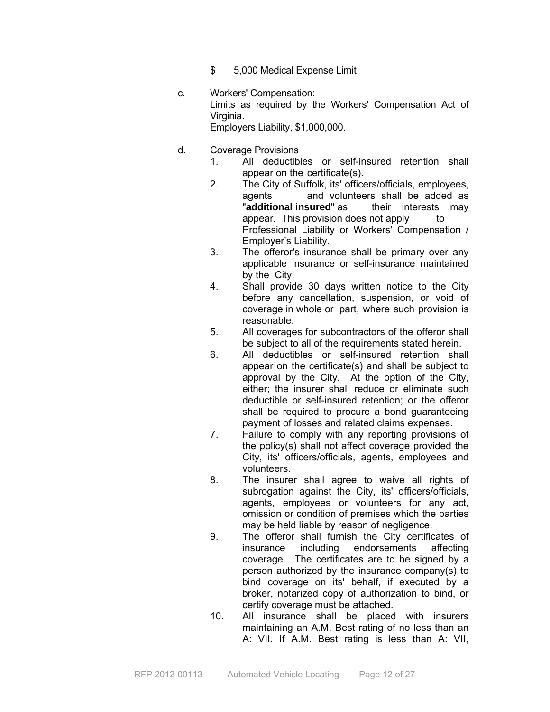- \$ 5,000 Medical Expense Limit
- c. Workers' Compensation: Limits as required by the Workers' Compensation Act of Virginia. Employers Liability, \$1,000,000.
- d. Coverage Provisions
	- 1. All deductibles or self-insured retention shall appear on the certificate(s).
	- 2. The City of Suffolk, its' officers/officials, employees, agents and volunteers shall be added as "**additional insured**" as their interests may appear. This provision does not apply to Professional Liability or Workers' Compensation / Employer's Liability.
	- 3. The offeror's insurance shall be primary over any applicable insurance or self-insurance maintained by the City.
	- 4. Shall provide 30 days written notice to the City before any cancellation, suspension, or void of coverage in whole or part, where such provision is reasonable.
	- 5. All coverages for subcontractors of the offeror shall be subject to all of the requirements stated herein.
	- 6. All deductibles or self-insured retention shall appear on the certificate(s) and shall be subject to approval by the City. At the option of the City, either; the insurer shall reduce or eliminate such deductible or self-insured retention; or the offeror shall be required to procure a bond guaranteeing payment of losses and related claims expenses.
	- 7. Failure to comply with any reporting provisions of the policy(s) shall not affect coverage provided the City, its' officers/officials, agents, employees and volunteers.
	- 8. The insurer shall agree to waive all rights of subrogation against the City, its' officers/officials, agents, employees or volunteers for any act, omission or condition of premises which the parties may be held liable by reason of negligence.
	- 9. The offeror shall furnish the City certificates of insurance including endorsements affecting coverage. The certificates are to be signed by a person authorized by the insurance company(s) to bind coverage on its' behalf, if executed by a broker, notarized copy of authorization to bind, or certify coverage must be attached.
	- 10. All insurance shall be placed with insurers maintaining an A.M. Best rating of no less than an A: VII. If A.M. Best rating is less than A: VII,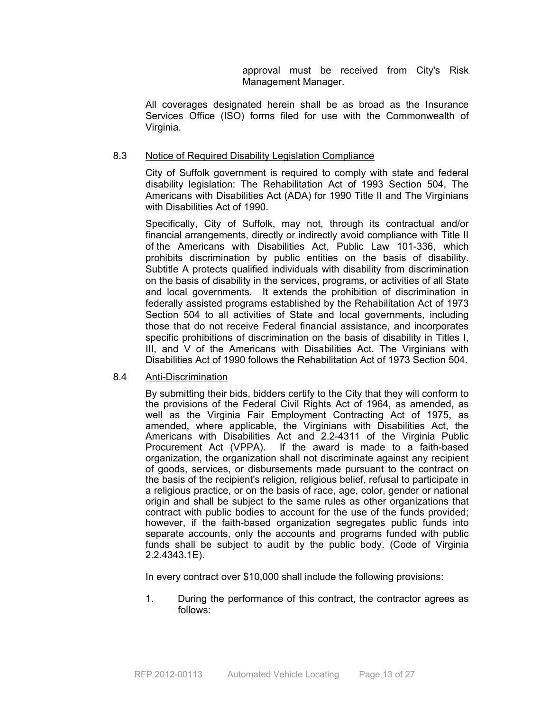approval must be received from City's Risk Management Manager.

All coverages designated herein shall be as broad as the Insurance Services Office (ISO) forms filed for use with the Commonwealth of Virginia.

#### 8.3 Notice of Required Disability Legislation Compliance

City of Suffolk government is required to comply with state and federal disability legislation: The Rehabilitation Act of 1993 Section 504, The Americans with Disabilities Act (ADA) for 1990 Title II and The Virginians with Disabilities Act of 1990.

Specifically, City of Suffolk, may not, through its contractual and/or financial arrangements, directly or indirectly avoid compliance with Title II of the Americans with Disabilities Act, Public Law 101-336, which prohibits discrimination by public entities on the basis of disability. Subtitle A protects qualified individuals with disability from discrimination on the basis of disability in the services, programs, or activities of all State and local governments. It extends the prohibition of discrimination in federally assisted programs established by the Rehabilitation Act of 1973 Section 504 to all activities of State and local governments, including those that do not receive Federal financial assistance, and incorporates specific prohibitions of discrimination on the basis of disability in Titles I, III, and V of the Americans with Disabilities Act. The Virginians with Disabilities Act of 1990 follows the Rehabilitation Act of 1973 Section 504.

#### 8.4 Anti-Discrimination

By submitting their bids, bidders certify to the City that they will conform to the provisions of the Federal Civil Rights Act of 1964, as amended, as well as the Virginia Fair Employment Contracting Act of 1975, as amended, where applicable, the Virginians with Disabilities Act, the Americans with Disabilities Act and 2.2-4311 of the Virginia Public Procurement Act (VPPA). If the award is made to a faith-based organization, the organization shall not discriminate against any recipient of goods, services, or disbursements made pursuant to the contract on the basis of the recipient's religion, religious belief, refusal to participate in a religious practice, or on the basis of race, age, color, gender or national origin and shall be subject to the same rules as other organizations that contract with public bodies to account for the use of the funds provided; however, if the faith-based organization segregates public funds into separate accounts, only the accounts and programs funded with public funds shall be subject to audit by the public body. (Code of Virginia 2.2.4343.1E).

In every contract over \$10,000 shall include the following provisions:

1. During the performance of this contract, the contractor agrees as follows: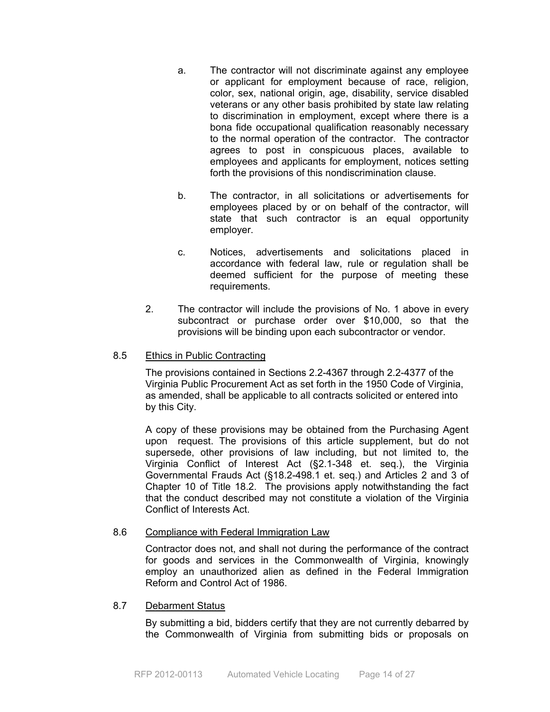- a. The contractor will not discriminate against any employee or applicant for employment because of race, religion, color, sex, national origin, age, disability, service disabled veterans or any other basis prohibited by state law relating to discrimination in employment, except where there is a bona fide occupational qualification reasonably necessary to the normal operation of the contractor. The contractor agrees to post in conspicuous places, available to employees and applicants for employment, notices setting forth the provisions of this nondiscrimination clause.
- b. The contractor, in all solicitations or advertisements for employees placed by or on behalf of the contractor, will state that such contractor is an equal opportunity employer.
- c. Notices, advertisements and solicitations placed in accordance with federal law, rule or regulation shall be deemed sufficient for the purpose of meeting these requirements.
- 2. The contractor will include the provisions of No. 1 above in every subcontract or purchase order over \$10,000, so that the provisions will be binding upon each subcontractor or vendor.

### 8.5 Ethics in Public Contracting

The provisions contained in Sections 2.2-4367 through 2.2-4377 of the Virginia Public Procurement Act as set forth in the 1950 Code of Virginia, as amended, shall be applicable to all contracts solicited or entered into by this City.

A copy of these provisions may be obtained from the Purchasing Agent upon request. The provisions of this article supplement, but do not supersede, other provisions of law including, but not limited to, the Virginia Conflict of Interest Act (§2.1-348 et. seq.), the Virginia Governmental Frauds Act (§18.2-498.1 et. seq.) and Articles 2 and 3 of Chapter 10 of Title 18.2. The provisions apply notwithstanding the fact that the conduct described may not constitute a violation of the Virginia Conflict of Interests Act.

### 8.6 Compliance with Federal Immigration Law

Contractor does not, and shall not during the performance of the contract for goods and services in the Commonwealth of Virginia, knowingly employ an unauthorized alien as defined in the Federal Immigration Reform and Control Act of 1986.

### 8.7 Debarment Status

By submitting a bid, bidders certify that they are not currently debarred by the Commonwealth of Virginia from submitting bids or proposals on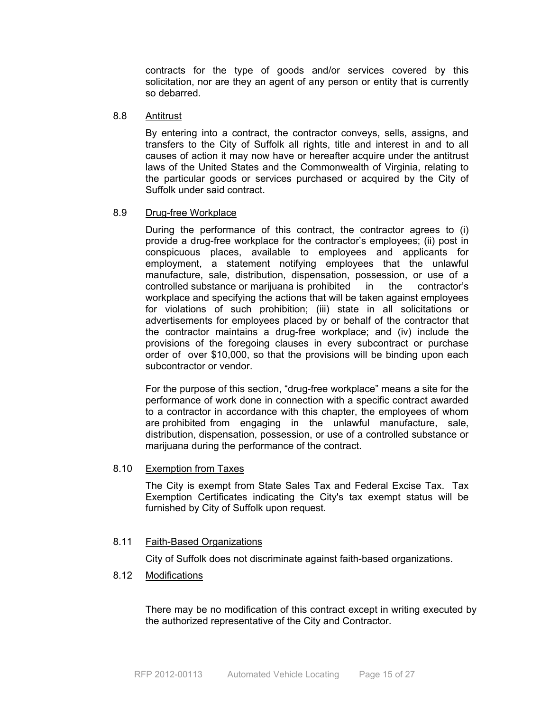contracts for the type of goods and/or services covered by this solicitation, nor are they an agent of any person or entity that is currently so debarred.

#### 8.8 Antitrust

By entering into a contract, the contractor conveys, sells, assigns, and transfers to the City of Suffolk all rights, title and interest in and to all causes of action it may now have or hereafter acquire under the antitrust laws of the United States and the Commonwealth of Virginia, relating to the particular goods or services purchased or acquired by the City of Suffolk under said contract.

#### 8.9 Drug-free Workplace

During the performance of this contract, the contractor agrees to (i) provide a drug-free workplace for the contractor's employees; (ii) post in conspicuous places, available to employees and applicants for employment, a statement notifying employees that the unlawful manufacture, sale, distribution, dispensation, possession, or use of a controlled substance or marijuana is prohibited in the contractor's workplace and specifying the actions that will be taken against employees for violations of such prohibition; (iii) state in all solicitations or advertisements for employees placed by or behalf of the contractor that the contractor maintains a drug-free workplace; and (iv) include the provisions of the foregoing clauses in every subcontract or purchase order of over \$10,000, so that the provisions will be binding upon each subcontractor or vendor.

For the purpose of this section, "drug-free workplace" means a site for the performance of work done in connection with a specific contract awarded to a contractor in accordance with this chapter, the employees of whom are prohibited from engaging in the unlawful manufacture, sale, distribution, dispensation, possession, or use of a controlled substance or marijuana during the performance of the contract.

#### 8.10 Exemption from Taxes

 The City is exempt from State Sales Tax and Federal Excise Tax. Tax Exemption Certificates indicating the City's tax exempt status will be furnished by City of Suffolk upon request.

#### 8.11 Faith-Based Organizations

City of Suffolk does not discriminate against faith-based organizations.

8.12 Modifications

There may be no modification of this contract except in writing executed by the authorized representative of the City and Contractor.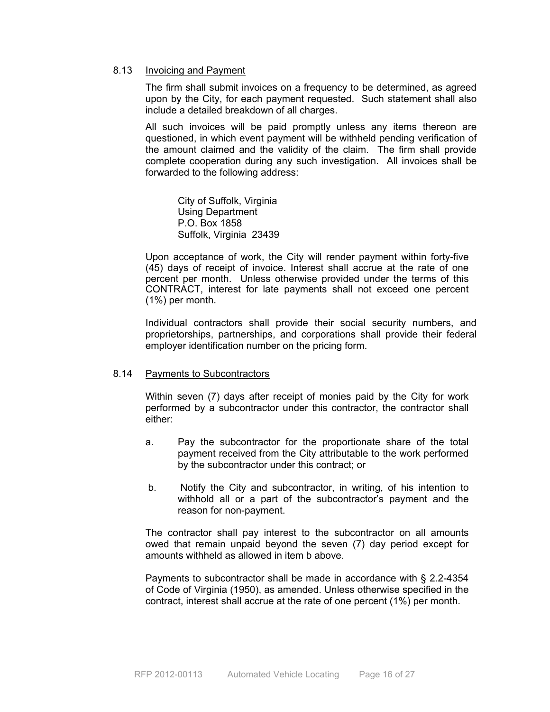#### 8.13 Invoicing and Payment

 The firm shall submit invoices on a frequency to be determined, as agreed upon by the City, for each payment requested. Such statement shall also include a detailed breakdown of all charges.

 All such invoices will be paid promptly unless any items thereon are questioned, in which event payment will be withheld pending verification of the amount claimed and the validity of the claim. The firm shall provide complete cooperation during any such investigation. All invoices shall be forwarded to the following address:

 City of Suffolk, Virginia Using Department P.O. Box 1858 Suffolk, Virginia 23439

Upon acceptance of work, the City will render payment within forty-five (45) days of receipt of invoice. Interest shall accrue at the rate of one percent per month. Unless otherwise provided under the terms of this CONTRACT, interest for late payments shall not exceed one percent (1%) per month.

 Individual contractors shall provide their social security numbers, and proprietorships, partnerships, and corporations shall provide their federal employer identification number on the pricing form.

#### 8.14 Payments to Subcontractors

Within seven (7) days after receipt of monies paid by the City for work performed by a subcontractor under this contractor, the contractor shall either:

- a. Pay the subcontractor for the proportionate share of the total payment received from the City attributable to the work performed by the subcontractor under this contract; or
- b. Notify the City and subcontractor, in writing, of his intention to withhold all or a part of the subcontractor's payment and the reason for non-payment.

The contractor shall pay interest to the subcontractor on all amounts owed that remain unpaid beyond the seven (7) day period except for amounts withheld as allowed in item b above.

Payments to subcontractor shall be made in accordance with § 2.2-4354 of Code of Virginia (1950), as amended. Unless otherwise specified in the contract, interest shall accrue at the rate of one percent (1%) per month.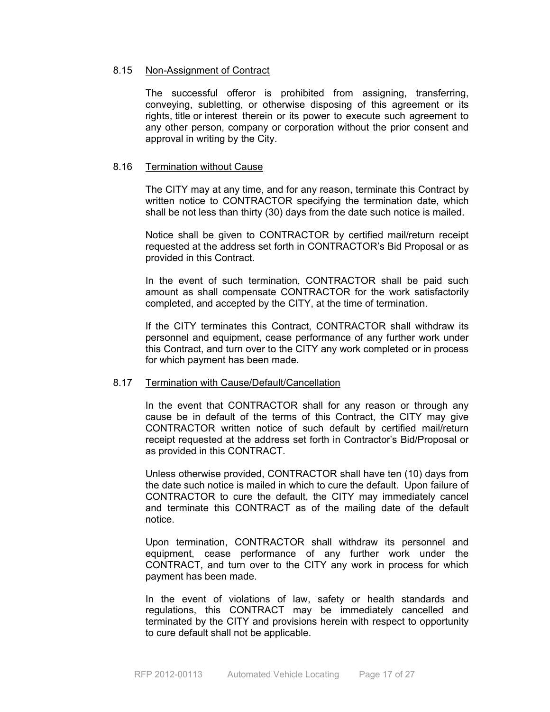#### 8.15 Non-Assignment of Contract

The successful offeror is prohibited from assigning, transferring, conveying, subletting, or otherwise disposing of this agreement or its rights, title or interest therein or its power to execute such agreement to any other person, company or corporation without the prior consent and approval in writing by the City.

#### 8.16 Termination without Cause

The CITY may at any time, and for any reason, terminate this Contract by written notice to CONTRACTOR specifying the termination date, which shall be not less than thirty (30) days from the date such notice is mailed.

Notice shall be given to CONTRACTOR by certified mail/return receipt requested at the address set forth in CONTRACTOR's Bid Proposal or as provided in this Contract.

In the event of such termination, CONTRACTOR shall be paid such amount as shall compensate CONTRACTOR for the work satisfactorily completed, and accepted by the CITY, at the time of termination.

If the CITY terminates this Contract, CONTRACTOR shall withdraw its personnel and equipment, cease performance of any further work under this Contract, and turn over to the CITY any work completed or in process for which payment has been made.

#### 8.17 Termination with Cause/Default/Cancellation

In the event that CONTRACTOR shall for any reason or through any cause be in default of the terms of this Contract, the CITY may give CONTRACTOR written notice of such default by certified mail/return receipt requested at the address set forth in Contractor's Bid/Proposal or as provided in this CONTRACT.

Unless otherwise provided, CONTRACTOR shall have ten (10) days from the date such notice is mailed in which to cure the default. Upon failure of CONTRACTOR to cure the default, the CITY may immediately cancel and terminate this CONTRACT as of the mailing date of the default notice.

Upon termination, CONTRACTOR shall withdraw its personnel and equipment, cease performance of any further work under the CONTRACT, and turn over to the CITY any work in process for which payment has been made.

In the event of violations of law, safety or health standards and regulations, this CONTRACT may be immediately cancelled and terminated by the CITY and provisions herein with respect to opportunity to cure default shall not be applicable.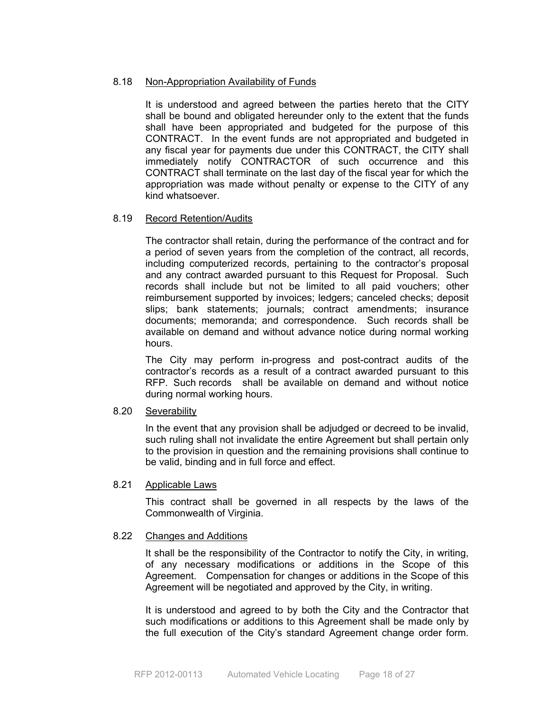#### 8.18 Non-Appropriation Availability of Funds

It is understood and agreed between the parties hereto that the CITY shall be bound and obligated hereunder only to the extent that the funds shall have been appropriated and budgeted for the purpose of this CONTRACT. In the event funds are not appropriated and budgeted in any fiscal year for payments due under this CONTRACT, the CITY shall immediately notify CONTRACTOR of such occurrence and this CONTRACT shall terminate on the last day of the fiscal year for which the appropriation was made without penalty or expense to the CITY of any kind whatsoever.

#### 8.19 Record Retention/Audits

The contractor shall retain, during the performance of the contract and for a period of seven years from the completion of the contract, all records, including computerized records, pertaining to the contractor's proposal and any contract awarded pursuant to this Request for Proposal. Such records shall include but not be limited to all paid vouchers; other reimbursement supported by invoices; ledgers; canceled checks; deposit slips; bank statements; journals; contract amendments; insurance documents; memoranda; and correspondence. Such records shall be available on demand and without advance notice during normal working hours.

The City may perform in-progress and post-contract audits of the contractor's records as a result of a contract awarded pursuant to this RFP. Such records shall be available on demand and without notice during normal working hours.

#### 8.20 Severability

In the event that any provision shall be adjudged or decreed to be invalid, such ruling shall not invalidate the entire Agreement but shall pertain only to the provision in question and the remaining provisions shall continue to be valid, binding and in full force and effect.

#### 8.21 Applicable Laws

This contract shall be governed in all respects by the laws of the Commonwealth of Virginia.

#### 8.22 Changes and Additions

It shall be the responsibility of the Contractor to notify the City, in writing, of any necessary modifications or additions in the Scope of this Agreement. Compensation for changes or additions in the Scope of this Agreement will be negotiated and approved by the City, in writing.

It is understood and agreed to by both the City and the Contractor that such modifications or additions to this Agreement shall be made only by the full execution of the City's standard Agreement change order form.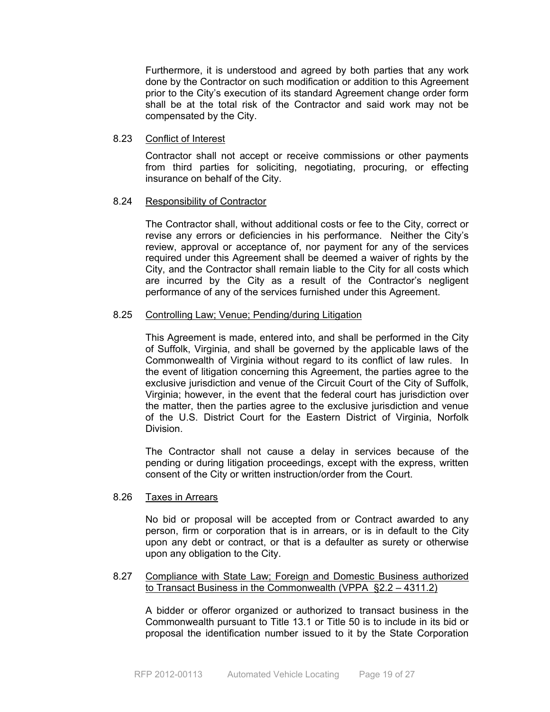Furthermore, it is understood and agreed by both parties that any work done by the Contractor on such modification or addition to this Agreement prior to the City's execution of its standard Agreement change order form shall be at the total risk of the Contractor and said work may not be compensated by the City.

#### 8.23 Conflict of Interest

Contractor shall not accept or receive commissions or other payments from third parties for soliciting, negotiating, procuring, or effecting insurance on behalf of the City.

#### 8.24 Responsibility of Contractor

The Contractor shall, without additional costs or fee to the City, correct or revise any errors or deficiencies in his performance. Neither the City's review, approval or acceptance of, nor payment for any of the services required under this Agreement shall be deemed a waiver of rights by the City, and the Contractor shall remain liable to the City for all costs which are incurred by the City as a result of the Contractor's negligent performance of any of the services furnished under this Agreement.

#### 8.25 Controlling Law; Venue; Pending/during Litigation

This Agreement is made, entered into, and shall be performed in the City of Suffolk, Virginia, and shall be governed by the applicable laws of the Commonwealth of Virginia without regard to its conflict of law rules. In the event of litigation concerning this Agreement, the parties agree to the exclusive jurisdiction and venue of the Circuit Court of the City of Suffolk, Virginia; however, in the event that the federal court has jurisdiction over the matter, then the parties agree to the exclusive jurisdiction and venue of the U.S. District Court for the Eastern District of Virginia, Norfolk Division.

The Contractor shall not cause a delay in services because of the pending or during litigation proceedings, except with the express, written consent of the City or written instruction/order from the Court.

#### 8.26 Taxes in Arrears

No bid or proposal will be accepted from or Contract awarded to any person, firm or corporation that is in arrears, or is in default to the City upon any debt or contract, or that is a defaulter as surety or otherwise upon any obligation to the City.

#### 8.27 Compliance with State Law; Foreign and Domestic Business authorized to Transact Business in the Commonwealth (VPPA §2.2 – 4311.2)

 A bidder or offeror organized or authorized to transact business in the Commonwealth pursuant to Title 13.1 or Title 50 is to include in its bid or proposal the identification number issued to it by the State Corporation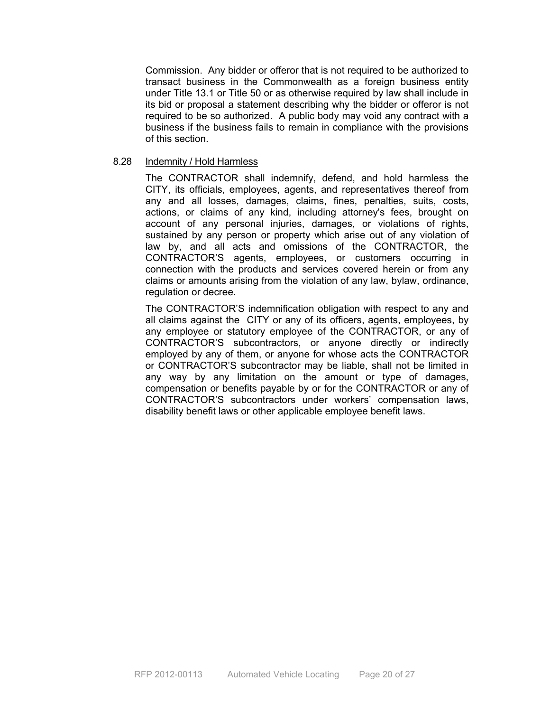Commission. Any bidder or offeror that is not required to be authorized to transact business in the Commonwealth as a foreign business entity under Title 13.1 or Title 50 or as otherwise required by law shall include in its bid or proposal a statement describing why the bidder or offeror is not required to be so authorized. A public body may void any contract with a business if the business fails to remain in compliance with the provisions of this section.

#### 8.28 Indemnity / Hold Harmless

The CONTRACTOR shall indemnify, defend, and hold harmless the CITY, its officials, employees, agents, and representatives thereof from any and all losses, damages, claims, fines, penalties, suits, costs, actions, or claims of any kind, including attorney's fees, brought on account of any personal injuries, damages, or violations of rights, sustained by any person or property which arise out of any violation of law by, and all acts and omissions of the CONTRACTOR, the CONTRACTOR'S agents, employees, or customers occurring in connection with the products and services covered herein or from any claims or amounts arising from the violation of any law, bylaw, ordinance, regulation or decree.

The CONTRACTOR'S indemnification obligation with respect to any and all claims against the CITY or any of its officers, agents, employees, by any employee or statutory employee of the CONTRACTOR, or any of CONTRACTOR'S subcontractors, or anyone directly or indirectly employed by any of them, or anyone for whose acts the CONTRACTOR or CONTRACTOR'S subcontractor may be liable, shall not be limited in any way by any limitation on the amount or type of damages, compensation or benefits payable by or for the CONTRACTOR or any of CONTRACTOR'S subcontractors under workers' compensation laws, disability benefit laws or other applicable employee benefit laws.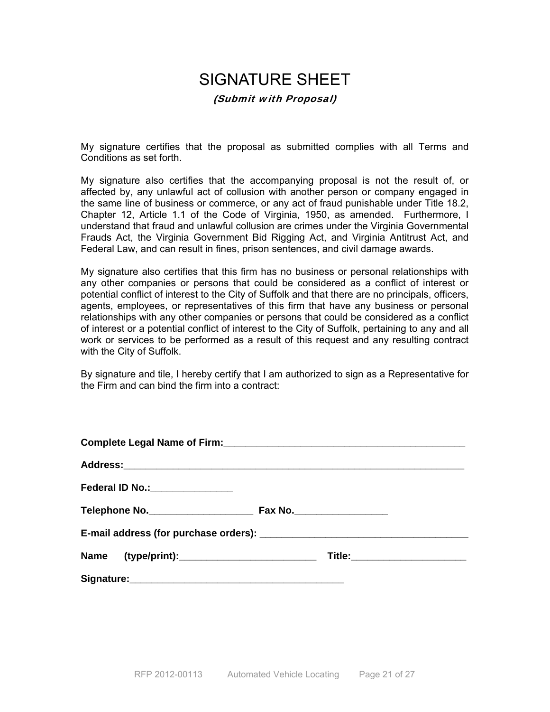# SIGNATURE SHEET (Submit with Proposal)

My signature certifies that the proposal as submitted complies with all Terms and Conditions as set forth.

My signature also certifies that the accompanying proposal is not the result of, or affected by, any unlawful act of collusion with another person or company engaged in the same line of business or commerce, or any act of fraud punishable under Title 18.2, Chapter 12, Article 1.1 of the Code of Virginia, 1950, as amended. Furthermore, I understand that fraud and unlawful collusion are crimes under the Virginia Governmental Frauds Act, the Virginia Government Bid Rigging Act, and Virginia Antitrust Act, and Federal Law, and can result in fines, prison sentences, and civil damage awards.

My signature also certifies that this firm has no business or personal relationships with any other companies or persons that could be considered as a conflict of interest or potential conflict of interest to the City of Suffolk and that there are no principals, officers, agents, employees, or representatives of this firm that have any business or personal relationships with any other companies or persons that could be considered as a conflict of interest or a potential conflict of interest to the City of Suffolk, pertaining to any and all work or services to be performed as a result of this request and any resulting contract with the City of Suffolk.

By signature and tile, I hereby certify that I am authorized to sign as a Representative for the Firm and can bind the firm into a contract: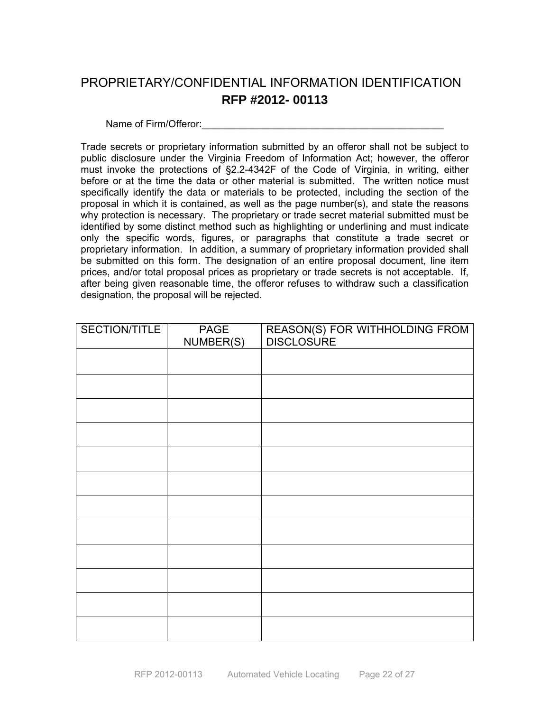# PROPRIETARY/CONFIDENTIAL INFORMATION IDENTIFICATION **RFP #2012- 00113**

Name of Firm/Offeror:

Trade secrets or proprietary information submitted by an offeror shall not be subject to public disclosure under the Virginia Freedom of Information Act; however, the offeror must invoke the protections of §2.2-4342F of the Code of Virginia, in writing, either before or at the time the data or other material is submitted. The written notice must specifically identify the data or materials to be protected, including the section of the proposal in which it is contained, as well as the page number(s), and state the reasons why protection is necessary. The proprietary or trade secret material submitted must be identified by some distinct method such as highlighting or underlining and must indicate only the specific words, figures, or paragraphs that constitute a trade secret or proprietary information. In addition, a summary of proprietary information provided shall be submitted on this form. The designation of an entire proposal document, line item prices, and/or total proposal prices as proprietary or trade secrets is not acceptable. If, after being given reasonable time, the offeror refuses to withdraw such a classification designation, the proposal will be rejected.

| SECTION/TITLE | <b>PAGE</b><br>NUMBER(S) | REASON(S) FOR WITHHOLDING FROM<br>DISCLOSURE |
|---------------|--------------------------|----------------------------------------------|
|               |                          |                                              |
|               |                          |                                              |
|               |                          |                                              |
|               |                          |                                              |
|               |                          |                                              |
|               |                          |                                              |
|               |                          |                                              |
|               |                          |                                              |
|               |                          |                                              |
|               |                          |                                              |
|               |                          |                                              |
|               |                          |                                              |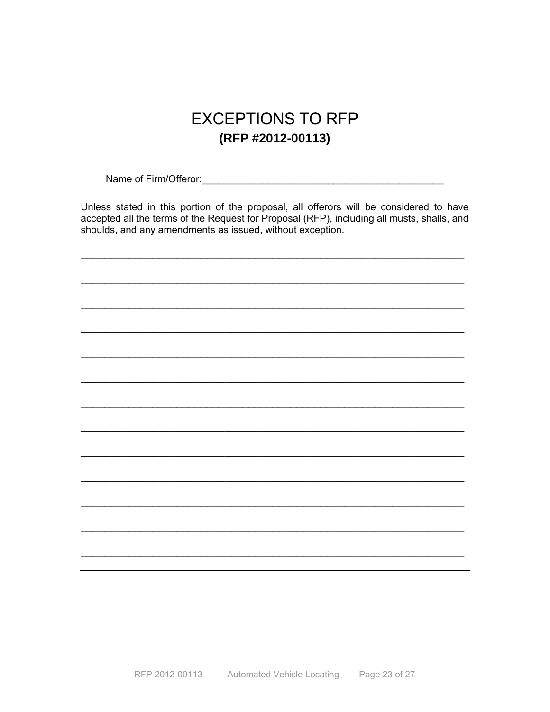# **EXCEPTIONS TO RFP** (RFP #2012-00113)

Name of Firm/Offeror: Manual Account of Firm/Offeror:

Unless stated in this portion of the proposal, all offerors will be considered to have accepted all the terms of the Request for Proposal (RFP), including all musts, shalls, and shoulds, and any amendments as issued, without exception.

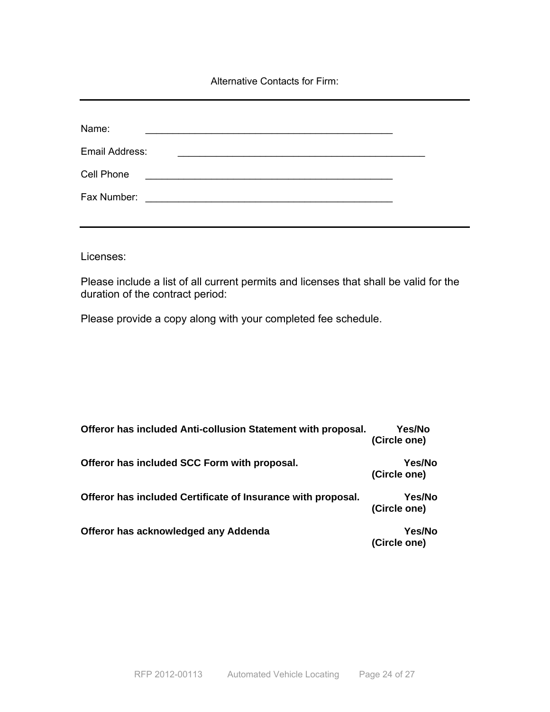Alternative Contacts for Firm:

| Name:          |                                                                                                                      |                                                                                                                       |  |
|----------------|----------------------------------------------------------------------------------------------------------------------|-----------------------------------------------------------------------------------------------------------------------|--|
| Email Address: |                                                                                                                      | <u> 1989 - Johann John Stoff, deutscher Stoffen und der Stoffen und der Stoffen und der Stoffen und der Stoffen u</u> |  |
| Cell Phone     | <u> 1989 - Johann Harry Barn, mars ar yn y brenin y brenin y brenin y brenin y brenin y brenin y brenin y brenin</u> |                                                                                                                       |  |
| Fax Number:    | the contract of the contract of the contract of the contract of the contract of the contract of                      |                                                                                                                       |  |
|                |                                                                                                                      |                                                                                                                       |  |

Licenses:

Please include a list of all current permits and licenses that shall be valid for the duration of the contract period:

Please provide a copy along with your completed fee schedule.

| Offeror has included Anti-collusion Statement with proposal. | Yes/No<br>(Circle one) |
|--------------------------------------------------------------|------------------------|
| Offeror has included SCC Form with proposal.                 | Yes/No<br>(Circle one) |
| Offeror has included Certificate of Insurance with proposal. | Yes/No<br>(Circle one) |
| Offeror has acknowledged any Addenda                         | Yes/No<br>(Circle one) |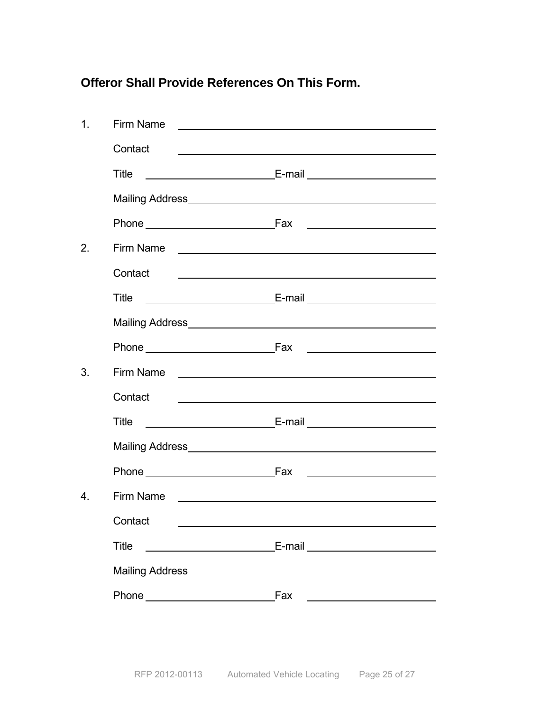**Offeror Shall Provide References On This Form.** 

| 1.               | Firm Name                                                                                                                                                                                                                                                                                   | <u> 1989 - Johann John Stone, markin f</u>                                                                              |
|------------------|---------------------------------------------------------------------------------------------------------------------------------------------------------------------------------------------------------------------------------------------------------------------------------------------|-------------------------------------------------------------------------------------------------------------------------|
|                  | Contact                                                                                                                                                                                                                                                                                     |                                                                                                                         |
|                  | Title                                                                                                                                                                                                                                                                                       |                                                                                                                         |
|                  | Mailing Address <b>Mailing</b> Address <b>Mailing</b> Address <b>Mailing</b> Address <b>Mailing</b> Address <b>Mailing</b> Address <b>Mailing</b> Address <b>Mailing</b> Address <b>Mailing</b> Address <b>Mailing</b> Address <b>Mailing</b> Address <b>Mailing</b> Address <b>Mailing</b> |                                                                                                                         |
|                  |                                                                                                                                                                                                                                                                                             |                                                                                                                         |
| 2.               |                                                                                                                                                                                                                                                                                             | Firm Name <u>experience</u>                                                                                             |
|                  | Contact<br><u> 1989 - Johann Barbara, martin amerikan basal dan berasal dalam basal dalam basal dalam basal dalam basal dala</u>                                                                                                                                                            |                                                                                                                         |
|                  | Title                                                                                                                                                                                                                                                                                       |                                                                                                                         |
|                  |                                                                                                                                                                                                                                                                                             |                                                                                                                         |
|                  |                                                                                                                                                                                                                                                                                             |                                                                                                                         |
| 3.               |                                                                                                                                                                                                                                                                                             |                                                                                                                         |
|                  | Contact                                                                                                                                                                                                                                                                                     | <u> 1989 - Johann Barbara, martin amerikan basal dan berasal dan berasal dalam basal dalam basal dalam basal dala</u>   |
|                  | Title                                                                                                                                                                                                                                                                                       |                                                                                                                         |
|                  |                                                                                                                                                                                                                                                                                             |                                                                                                                         |
|                  |                                                                                                                                                                                                                                                                                             | <u> 1989 - Johann Barbara, martxa amerikan personal (</u>                                                               |
| $\overline{4}$ . | Firm Name                                                                                                                                                                                                                                                                                   | <u> 1980 - Jan Sterling Sterling von Berling von Berling von Berling von Berling von Berling von Berling von Berlin</u> |
|                  | Contact ___                                                                                                                                                                                                                                                                                 |                                                                                                                         |
|                  | <b>Title</b>                                                                                                                                                                                                                                                                                |                                                                                                                         |
|                  |                                                                                                                                                                                                                                                                                             |                                                                                                                         |
|                  |                                                                                                                                                                                                                                                                                             | Fax<br><u> 1989 - Johann Barn, amerikansk politiker (d. 1989)</u>                                                       |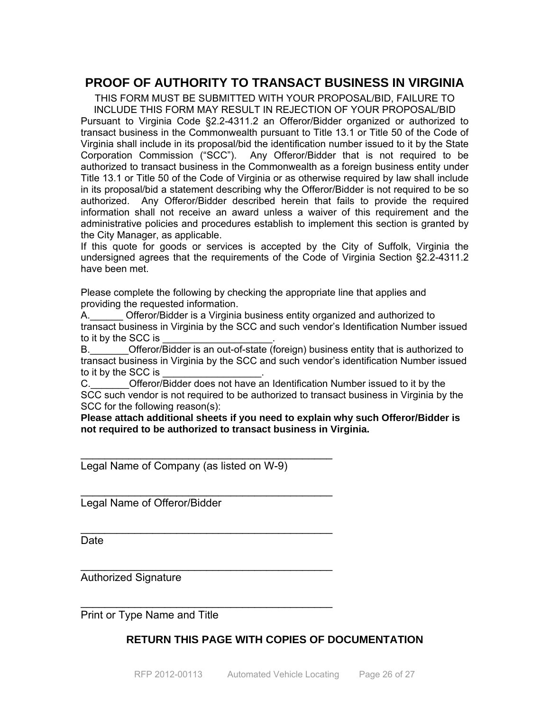### **PROOF OF AUTHORITY TO TRANSACT BUSINESS IN VIRGINIA**

THIS FORM MUST BE SUBMITTED WITH YOUR PROPOSAL/BID, FAILURE TO INCLUDE THIS FORM MAY RESULT IN REJECTION OF YOUR PROPOSAL/BID Pursuant to Virginia Code §2.2-4311.2 an Offeror/Bidder organized or authorized to transact business in the Commonwealth pursuant to Title 13.1 or Title 50 of the Code of Virginia shall include in its proposal/bid the identification number issued to it by the State Corporation Commission ("SCC"). Any Offeror/Bidder that is not required to be authorized to transact business in the Commonwealth as a foreign business entity under Title 13.1 or Title 50 of the Code of Virginia or as otherwise required by law shall include in its proposal/bid a statement describing why the Offeror/Bidder is not required to be so authorized. Any Offeror/Bidder described herein that fails to provide the required information shall not receive an award unless a waiver of this requirement and the administrative policies and procedures establish to implement this section is granted by the City Manager, as applicable.

If this quote for goods or services is accepted by the City of Suffolk, Virginia the undersigned agrees that the requirements of the Code of Virginia Section §2.2-4311.2 have been met.

Please complete the following by checking the appropriate line that applies and providing the requested information.

A. Cfferor/Bidder is a Virginia business entity organized and authorized to transact business in Virginia by the SCC and such vendor's Identification Number issued to it by the SCC is

B.\_\_\_\_\_\_\_Offeror/Bidder is an out-of-state (foreign) business entity that is authorized to transact business in Virginia by the SCC and such vendor's identification Number issued to it by the SCC is

C. C. Circle Offeror/Bidder does not have an Identification Number issued to it by the SCC such vendor is not required to be authorized to transact business in Virginia by the SCC for the following reason(s):

**Please attach additional sheets if you need to explain why such Offeror/Bidder is not required to be authorized to transact business in Virginia.** 

Legal Name of Company (as listed on W-9)

\_\_\_\_\_\_\_\_\_\_\_\_\_\_\_\_\_\_\_\_\_\_\_\_\_\_\_\_\_\_\_\_\_\_\_\_\_\_\_\_\_\_

 $\mathcal{L}_\text{max}$  , where  $\mathcal{L}_\text{max}$  is the set of  $\mathcal{L}_\text{max}$ 

\_\_\_\_\_\_\_\_\_\_\_\_\_\_\_\_\_\_\_\_\_\_\_\_\_\_\_\_\_\_\_\_\_\_\_\_\_\_\_\_\_\_

 $\mathcal{L}_\text{max}$  , we can also assume that the contract of  $\mathcal{L}_\text{max}$ 

 $\mathcal{L}_\text{max}$  , we can also assume that the contract of  $\mathcal{L}_\text{max}$ 

Legal Name of Offeror/Bidder

**Date** 

Authorized Signature

Print or Type Name and Title

### **RETURN THIS PAGE WITH COPIES OF DOCUMENTATION**